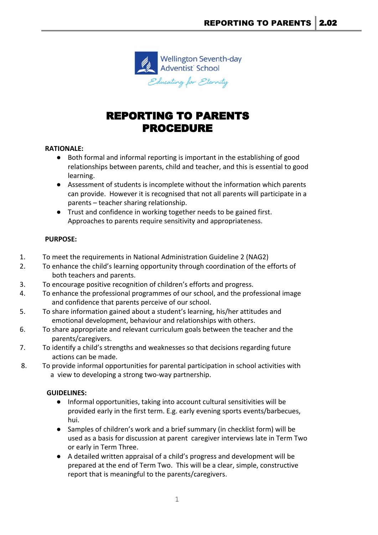

# REPORTING TO PARENTS PROCEDURE

## **RATIONALE:**

- Both formal and informal reporting is important in the establishing of good relationships between parents, child and teacher, and this is essential to good learning.
- Assessment of students is incomplete without the information which parents can provide. However it is recognised that not all parents will participate in a parents – teacher sharing relationship.
- Trust and confidence in working together needs to be gained first. Approaches to parents require sensitivity and appropriateness.

## **PURPOSE:**

- 1. To meet the requirements in National Administration Guideline 2 (NAG2)
- 2. To enhance the child's learning opportunity through coordination of the efforts of both teachers and parents.
- 3. To encourage positive recognition of children's efforts and progress.
- 4. To enhance the professional programmes of our school, and the professional image and confidence that parents perceive of our school.
- 5. To share information gained about a student's learning, his/her attitudes and emotional development, behaviour and relationships with others.
- 6. To share appropriate and relevant curriculum goals between the teacher and the parents/caregivers.
- 7. To identify a child's strengths and weaknesses so that decisions regarding future actions can be made.
- 8. To provide informal opportunities for parental participation in school activities with a view to developing a strong two-way partnership.

### **GUIDELINES:**

- Informal opportunities, taking into account cultural sensitivities will be provided early in the first term. E.g. early evening sports events/barbecues, hui.
- Samples of children's work and a brief summary (in checklist form) will be used as a basis for discussion at parent caregiver interviews late in Term Two or early in Term Three.
- A detailed written appraisal of a child's progress and development will be prepared at the end of Term Two. This will be a clear, simple, constructive report that is meaningful to the parents/caregivers.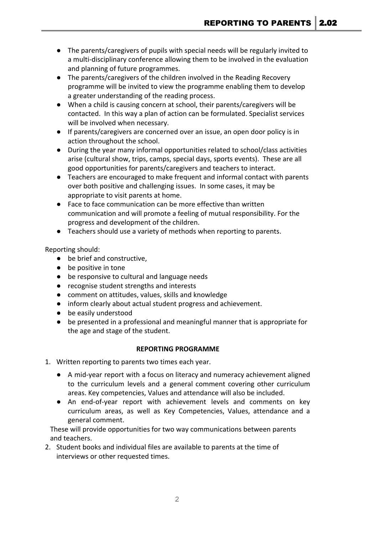- The parents/caregivers of pupils with special needs will be regularly invited to a multi-disciplinary conference allowing them to be involved in the evaluation and planning of future programmes.
- The parents/caregivers of the children involved in the Reading Recovery programme will be invited to view the programme enabling them to develop a greater understanding of the reading process.
- When a child is causing concern at school, their parents/caregivers will be contacted. In this way a plan of action can be formulated. Specialist services will be involved when necessary.
- If parents/caregivers are concerned over an issue, an open door policy is in action throughout the school.
- During the year many informal opportunities related to school/class activities arise (cultural show, trips, camps, special days, sports events). These are all good opportunities for parents/caregivers and teachers to interact.
- Teachers are encouraged to make frequent and informal contact with parents over both positive and challenging issues. In some cases, it may be appropriate to visit parents at home.
- Face to face communication can be more effective than written communication and will promote a feeling of mutual responsibility. For the progress and development of the children.
- Teachers should use a variety of methods when reporting to parents.

Reporting should:

- be brief and constructive,
- be positive in tone
- be responsive to cultural and language needs
- recognise student strengths and interests
- comment on attitudes, values, skills and knowledge
- inform clearly about actual student progress and achievement.
- be easily understood
- be presented in a professional and meaningful manner that is appropriate for the age and stage of the student.

### **REPORTING PROGRAMME**

- 1. Written reporting to parents two times each year.
	- A mid-year report with a focus on literacy and numeracy achievement aligned to the curriculum levels and a general comment covering other curriculum areas. Key competencies, Values and attendance will also be included.
	- An end-of-year report with achievement levels and comments on key curriculum areas, as well as Key Competencies, Values, attendance and a general comment.

 These will provide opportunities for two way communications between parents and teachers.

2. Student books and individual files are available to parents at the time of interviews or other requested times.